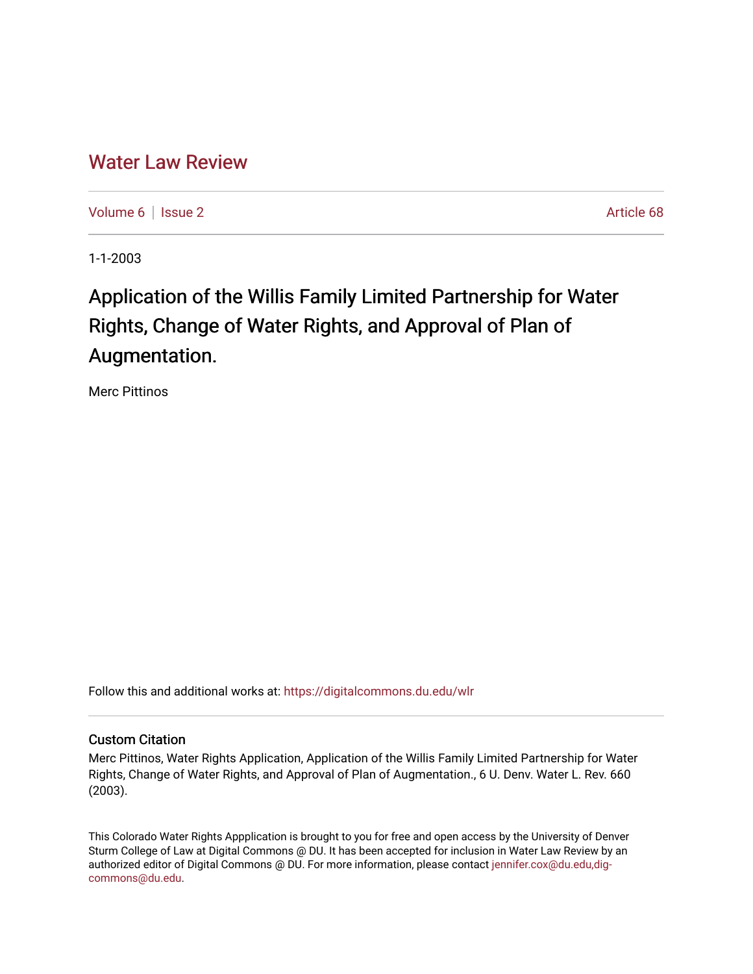## [Water Law Review](https://digitalcommons.du.edu/wlr)

[Volume 6](https://digitalcommons.du.edu/wlr/vol6) | [Issue 2](https://digitalcommons.du.edu/wlr/vol6/iss2) Article 68

1-1-2003

# Application of the Willis Family Limited Partnership for Water Rights, Change of Water Rights, and Approval of Plan of Augmentation.

Merc Pittinos

Follow this and additional works at: [https://digitalcommons.du.edu/wlr](https://digitalcommons.du.edu/wlr?utm_source=digitalcommons.du.edu%2Fwlr%2Fvol6%2Fiss2%2F68&utm_medium=PDF&utm_campaign=PDFCoverPages) 

### Custom Citation

Merc Pittinos, Water Rights Application, Application of the Willis Family Limited Partnership for Water Rights, Change of Water Rights, and Approval of Plan of Augmentation., 6 U. Denv. Water L. Rev. 660 (2003).

This Colorado Water Rights Appplication is brought to you for free and open access by the University of Denver Sturm College of Law at Digital Commons @ DU. It has been accepted for inclusion in Water Law Review by an authorized editor of Digital Commons @ DU. For more information, please contact [jennifer.cox@du.edu,dig](mailto:jennifer.cox@du.edu,dig-commons@du.edu)[commons@du.edu.](mailto:jennifer.cox@du.edu,dig-commons@du.edu)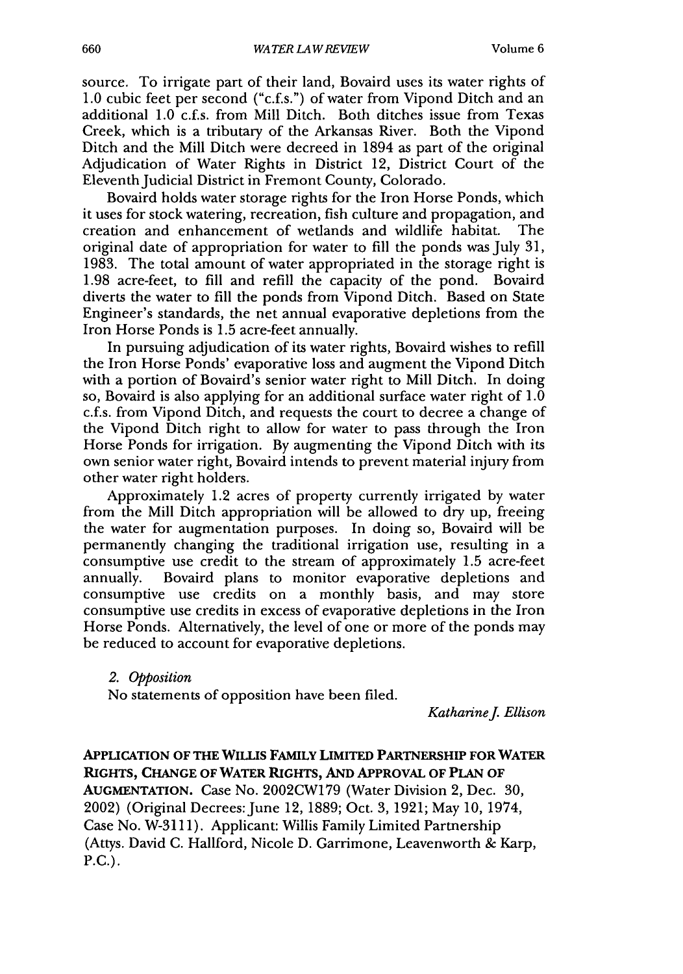source. To irrigate part of their land, Bovaird uses its water rights of 1.0 cubic feet per second ("c.f.s.") of water from Vipond Ditch and an additional 1.0 c.f.s. from Mill Ditch. Both ditches issue from Texas Creek, which is a tributary of the Arkansas River. Both the Vipond Ditch and the Mill Ditch were decreed in 1894 as part of the original Adjudication of Water Rights in District 12, District Court of the Eleventh Judicial District in Fremont County, Colorado.

Bovaird holds water storage rights for the Iron Horse Ponds, which it uses for stock watering, recreation, fish culture and propagation, and creation and enhancement of wetlands and wildlife habitat. The original date of appropriation for water to fill the ponds was July 31, 1983. The total amount of water appropriated in the storage right is 1.98 acre-feet, to fill and refill the capacity of the pond. Bovaird diverts the water to fill the ponds from Vipond Ditch. Based on State Engineer's standards, the net annual evaporative depletions from the Iron Horse Ponds is 1.5 acre-feet annually.

In pursuing adjudication of its water rights, Bovaird wishes to refill the Iron Horse Ponds' evaporative loss and augment the Vipond Ditch with a portion of Bovaird's senior water right to Mill Ditch. In doing so, Bovaird is also applying for an additional surface water right of 1.0 c.f.s. from Vipond Ditch, and requests the court to decree a change of the Vipond Ditch right to allow for water to pass through the Iron Horse Ponds for irrigation. By augmenting the Vipond Ditch with its own senior water right, Bovaird intends to prevent material injury from other water right holders.

Approximately 1.2 acres of property currently irrigated by water from the Mill Ditch appropriation will be allowed to dry up, freeing the water for augmentation purposes. In doing so, Bovaird will be permanently changing the traditional irrigation use, resulting in a consumptive use credit to the stream of approximately 1.5 acre-feet annually. Bovaird plans to monitor evaporative depletions and consumptive use credits on a monthly basis, and may store consumptive use credits in excess of evaporative depletions in the Iron Horse Ponds. Alternatively, the level of one or more of the ponds may be reduced to account for evaporative depletions.

*2. Opposition*

No statements of opposition have been filed.

*KatharineJ Ellison*

**APPLICATION OF THE WILLIS FAMILY LIMITED PARTNERSHIP FOR WATER RIGHTS, CHANGE OF WATER RIGHTS, AND APPROVAL OF PLAN OF AUGMENTATION.** Case No. **2002CW179** (Water Division *2,* Dec. **30,** 2002) (Original Decrees: June 12, 1889; Oct. 3, 1921; May 10, 1974, Case No. W-31 11). Applicant: Willis Family Limited Partnership (Attys. David C. Hallford, Nicole D. Garrimone, Leavenworth & Karp, P.C.).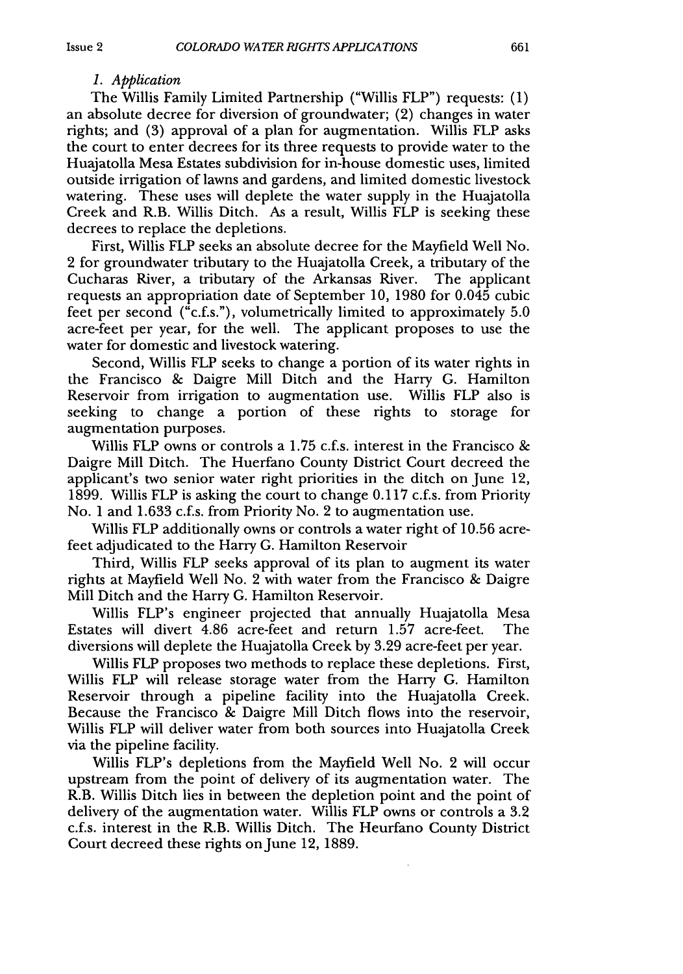#### *1. Application*

The Willis Family Limited Partnership ("Willis FLP") requests: (1) an absolute decree for diversion of groundwater; (2) changes in water rights; and (3) approval of a plan for augmentation. Willis FLP asks the court to enter decrees for its three requests to provide water to the Huajatolla Mesa Estates subdivision for in-house domestic uses, limited outside irrigation of lawns and gardens, and limited domestic livestock watering. These uses will deplete the water supply in the Huajatolla Creek and R.B. Willis Ditch. As a result, Willis FLP is seeking these decrees to replace the depletions.

First, Willis FLP seeks an absolute decree for the Mayfield Well No. 2 for groundwater tributary to the Huajatolla Creek, a tributary of the Cucharas River, a tributary of the Arkansas River. The applicant requests an appropriation date of September 10, 1980 for 0.045 cubic feet per second ("c.f.s."), volumetrically limited to approximately 5.0 acre-feet per year, for the well. The applicant proposes to use the water for domestic and livestock watering.

Second, Willis FLP seeks to change a portion of its water rights in the Francisco **&** Daigre Mill Ditch and the Harry G. Hamilton Reservoir from irrigation to augmentation use. Willis FLP also is seeking to change a portion of these rights to storage for augmentation purposes.

Willis FLP owns or controls a 1.75 c.f.s. interest in the Francisco **&** Daigre Mill Ditch. The Huerfano County District Court decreed the applicant's two senior water right priorities in the ditch on June 12, 1899. Willis FLP is asking the court to change 0.117 c.f.s. from Priority No. 1 and 1.633 c.f.s. from Priority No. 2 to augmentation use.

Willis FLP additionally owns or controls a water right of 10.56 acrefeet adjudicated to the Harry **G.** Hamilton Reservoir

Third, Willis FLP seeks approval of its plan to augment its water rights at Mayfield Well No. 2 with water from the Francisco **&** Daigre Mill Ditch and the Harry **G.** Hamilton Reservoir.

Willis FLP's engineer projected that annually Huajatolla Mesa Estates will divert 4.86 acre-feet and return 1.57 acre-feet. The diversions will deplete the Huajatolla Creek **by** 3.29 acre-feet per year.

Willis FLP proposes two methods to replace these depletions. First, Willis FLP will release storage water from the Harry G. Hamilton Reservoir through a pipeline facility into the Huajatolla Creek. Because the Francisco **&** Daigre Mill Ditch flows into the reservoir, Willis FLP will deliver water from both sources into Huajatolla Creek via the pipeline facility.

Willis FLP's depletions from the Mayfield Well No. 2 will occur upstream from the point of delivery of its augmentation water. The R.B. Willis Ditch lies in between the depletion point and the point of delivery of the augmentation water. Willis FLP owns or controls a **3.2** c.f.s. interest in the R.B. Willis Ditch. The Heurfano County District Court decreed these rights on June 12, 1889.